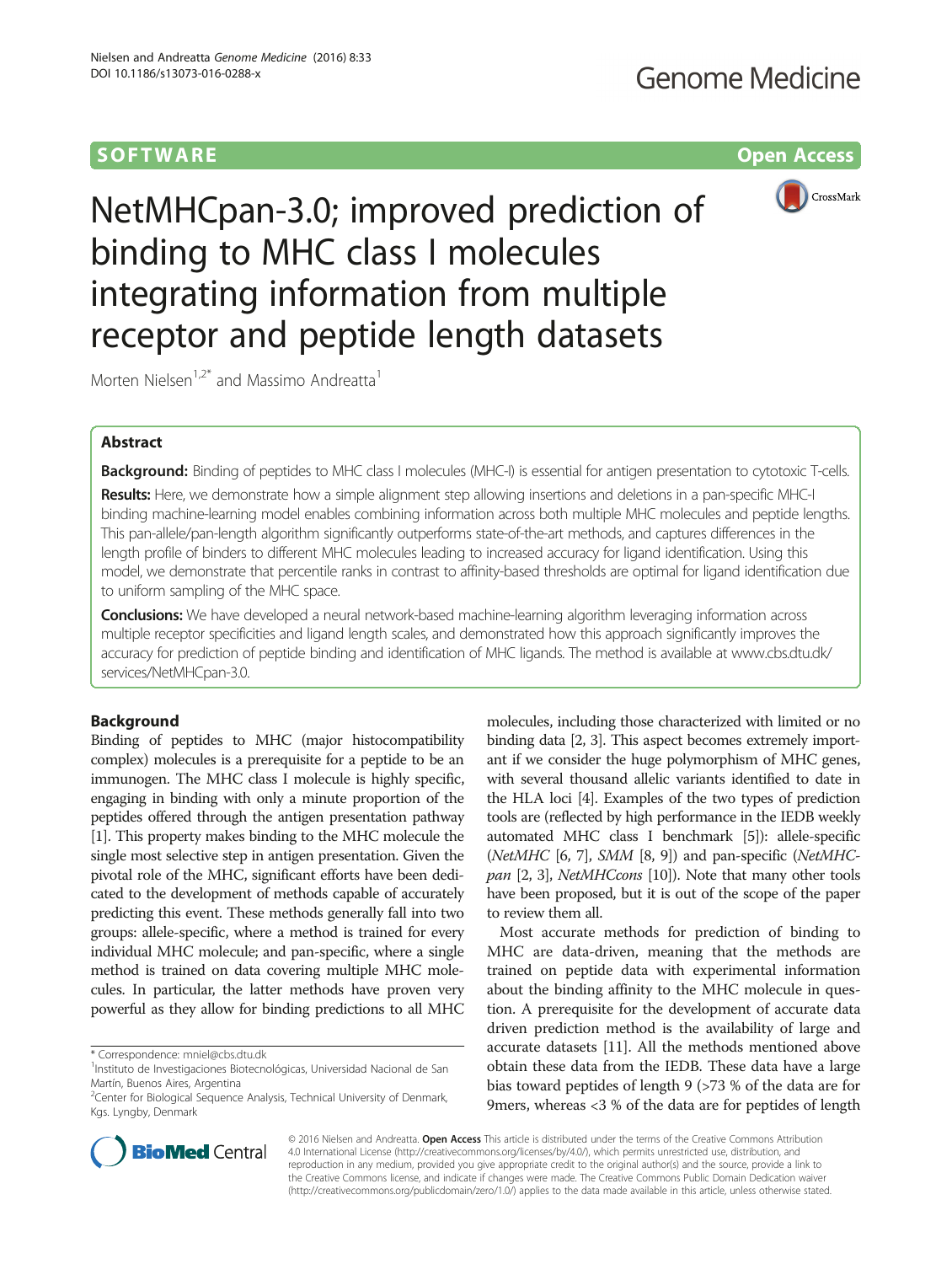# SO F TWA R E Open Access And The Contract of the Contract of the Contract of the Contract of the Contract of the Contract of the Contract of the Contract of the Contract of the Contract of the Contract of the Contract of t

# **Genome Medicine**



NetMHCpan-3.0; improved prediction of binding to MHC class I molecules integrating information from multiple receptor and peptide length datasets

Morten Nielsen<sup>1,2\*</sup> and Massimo Andreatta<sup>1</sup>

# Abstract

Background: Binding of peptides to MHC class I molecules (MHC-I) is essential for antigen presentation to cytotoxic T-cells.

Results: Here, we demonstrate how a simple alignment step allowing insertions and deletions in a pan-specific MHC-I binding machine-learning model enables combining information across both multiple MHC molecules and peptide lengths. This pan-allele/pan-length algorithm significantly outperforms state-of-the-art methods, and captures differences in the length profile of binders to different MHC molecules leading to increased accuracy for ligand identification. Using this model, we demonstrate that percentile ranks in contrast to affinity-based thresholds are optimal for ligand identification due to uniform sampling of the MHC space.

Conclusions: We have developed a neural network-based machine-learning algorithm leveraging information across multiple receptor specificities and ligand length scales, and demonstrated how this approach significantly improves the accuracy for prediction of peptide binding and identification of MHC ligands. The method is available at [www.cbs.dtu.dk/](http://www.cbs.dtu.dk/services/NetMHCpan-3.0) [services/NetMHCpan-3.0.](http://www.cbs.dtu.dk/services/NetMHCpan-3.0)

## Background

Binding of peptides to MHC (major histocompatibility complex) molecules is a prerequisite for a peptide to be an immunogen. The MHC class I molecule is highly specific, engaging in binding with only a minute proportion of the peptides offered through the antigen presentation pathway [[1](#page-7-0)]. This property makes binding to the MHC molecule the single most selective step in antigen presentation. Given the pivotal role of the MHC, significant efforts have been dedicated to the development of methods capable of accurately predicting this event. These methods generally fall into two groups: allele-specific, where a method is trained for every individual MHC molecule; and pan-specific, where a single method is trained on data covering multiple MHC molecules. In particular, the latter methods have proven very powerful as they allow for binding predictions to all MHC

\* Correspondence: [mniel@cbs.dtu.dk](mailto:mniel@cbs.dtu.dk) <sup>1</sup>

molecules, including those characterized with limited or no binding data [\[2, 3](#page-7-0)]. This aspect becomes extremely important if we consider the huge polymorphism of MHC genes, with several thousand allelic variants identified to date in the HLA loci [\[4](#page-7-0)]. Examples of the two types of prediction tools are (reflected by high performance in the IEDB weekly automated MHC class I benchmark [[5\]](#page-7-0)): allele-specific (NetMHC [\[6](#page-7-0), [7](#page-7-0)], SMM [\[8, 9](#page-7-0)]) and pan-specific (NetMHC-pan [\[2, 3\]](#page-7-0), NetMHCcons [\[10\]](#page-7-0)). Note that many other tools have been proposed, but it is out of the scope of the paper to review them all.

Most accurate methods for prediction of binding to MHC are data-driven, meaning that the methods are trained on peptide data with experimental information about the binding affinity to the MHC molecule in question. A prerequisite for the development of accurate data driven prediction method is the availability of large and accurate datasets [\[11\]](#page-7-0). All the methods mentioned above obtain these data from the IEDB. These data have a large bias toward peptides of length 9 (>73 % of the data are for 9mers, whereas <3 % of the data are for peptides of length



© 2016 Nielsen and Andreatta. Open Access This article is distributed under the terms of the Creative Commons Attribution 4.0 International License ([http://creativecommons.org/licenses/by/4.0/\)](http://creativecommons.org/licenses/by/4.0/), which permits unrestricted use, distribution, and reproduction in any medium, provided you give appropriate credit to the original author(s) and the source, provide a link to the Creative Commons license, and indicate if changes were made. The Creative Commons Public Domain Dedication waiver [\(http://creativecommons.org/publicdomain/zero/1.0/](http://creativecommons.org/publicdomain/zero/1.0/)) applies to the data made available in this article, unless otherwise stated.

<sup>&</sup>lt;sup>1</sup>Instituto de Investigaciones Biotecnológicas, Universidad Nacional de San Martín, Buenos Aires, Argentina

<sup>&</sup>lt;sup>2</sup> Center for Biological Sequence Analysis, Technical University of Denmark, Kgs. Lyngby, Denmark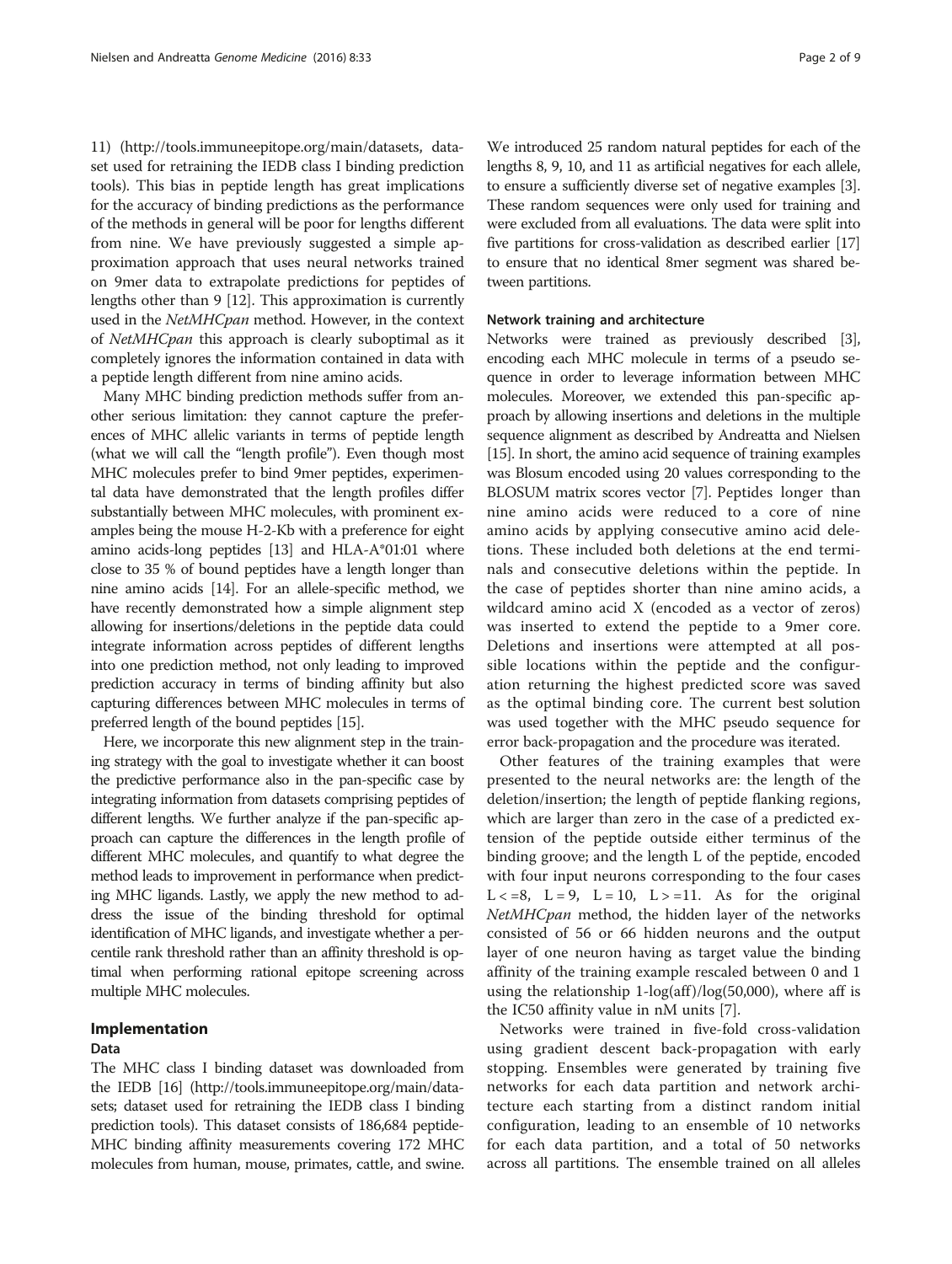<span id="page-1-0"></span>11) [\(http://tools.immuneepitope.org/main/datasets](http://tools.immuneepitope.org/main/datasets), dataset used for retraining the IEDB class I binding prediction tools). This bias in peptide length has great implications for the accuracy of binding predictions as the performance of the methods in general will be poor for lengths different from nine. We have previously suggested a simple approximation approach that uses neural networks trained on 9mer data to extrapolate predictions for peptides of lengths other than 9 [[12](#page-7-0)]. This approximation is currently used in the NetMHCpan method. However, in the context of NetMHCpan this approach is clearly suboptimal as it completely ignores the information contained in data with a peptide length different from nine amino acids.

Many MHC binding prediction methods suffer from another serious limitation: they cannot capture the preferences of MHC allelic variants in terms of peptide length (what we will call the "length profile"). Even though most MHC molecules prefer to bind 9mer peptides, experimental data have demonstrated that the length profiles differ substantially between MHC molecules, with prominent examples being the mouse H-2-Kb with a preference for eight amino acids-long peptides [\[13\]](#page-8-0) and HLA-A\*01:01 where close to 35 % of bound peptides have a length longer than nine amino acids [\[14](#page-8-0)]. For an allele-specific method, we have recently demonstrated how a simple alignment step allowing for insertions/deletions in the peptide data could integrate information across peptides of different lengths into one prediction method, not only leading to improved prediction accuracy in terms of binding affinity but also capturing differences between MHC molecules in terms of preferred length of the bound peptides [\[15\]](#page-8-0).

Here, we incorporate this new alignment step in the training strategy with the goal to investigate whether it can boost the predictive performance also in the pan-specific case by integrating information from datasets comprising peptides of different lengths. We further analyze if the pan-specific approach can capture the differences in the length profile of different MHC molecules, and quantify to what degree the method leads to improvement in performance when predicting MHC ligands. Lastly, we apply the new method to address the issue of the binding threshold for optimal identification of MHC ligands, and investigate whether a percentile rank threshold rather than an affinity threshold is optimal when performing rational epitope screening across multiple MHC molecules.

#### Implementation

### Data

The MHC class I binding dataset was downloaded from the IEDB [\[16](#page-8-0)] [\(http://tools.immuneepitope.org/main/data](http://tools.immuneepitope.org/main/datasets)[sets](http://tools.immuneepitope.org/main/datasets); dataset used for retraining the IEDB class I binding prediction tools). This dataset consists of 186,684 peptide-MHC binding affinity measurements covering 172 MHC molecules from human, mouse, primates, cattle, and swine.

We introduced 25 random natural peptides for each of the lengths 8, 9, 10, and 11 as artificial negatives for each allele, to ensure a sufficiently diverse set of negative examples [[3](#page-7-0)]. These random sequences were only used for training and were excluded from all evaluations. The data were split into five partitions for cross-validation as described earlier [\[17](#page-8-0)] to ensure that no identical 8mer segment was shared between partitions.

## Network training and architecture

Networks were trained as previously described [[3](#page-7-0)], encoding each MHC molecule in terms of a pseudo sequence in order to leverage information between MHC molecules. Moreover, we extended this pan-specific approach by allowing insertions and deletions in the multiple sequence alignment as described by Andreatta and Nielsen [[15](#page-8-0)]. In short, the amino acid sequence of training examples was Blosum encoded using 20 values corresponding to the BLOSUM matrix scores vector [\[7](#page-7-0)]. Peptides longer than nine amino acids were reduced to a core of nine amino acids by applying consecutive amino acid deletions. These included both deletions at the end terminals and consecutive deletions within the peptide. In the case of peptides shorter than nine amino acids, a wildcard amino acid X (encoded as a vector of zeros) was inserted to extend the peptide to a 9mer core. Deletions and insertions were attempted at all possible locations within the peptide and the configuration returning the highest predicted score was saved as the optimal binding core. The current best solution was used together with the MHC pseudo sequence for error back-propagation and the procedure was iterated.

Other features of the training examples that were presented to the neural networks are: the length of the deletion/insertion; the length of peptide flanking regions, which are larger than zero in the case of a predicted extension of the peptide outside either terminus of the binding groove; and the length L of the peptide, encoded with four input neurons corresponding to the four cases  $L < 8$ ,  $L = 9$ ,  $L = 10$ ,  $L > 11$ . As for the original NetMHCpan method, the hidden layer of the networks consisted of 56 or 66 hidden neurons and the output layer of one neuron having as target value the binding affinity of the training example rescaled between 0 and 1 using the relationship 1-log(aff )/log(50,000), where aff is the IC50 affinity value in nM units [\[7](#page-7-0)].

Networks were trained in five-fold cross-validation using gradient descent back-propagation with early stopping. Ensembles were generated by training five networks for each data partition and network architecture each starting from a distinct random initial configuration, leading to an ensemble of 10 networks for each data partition, and a total of 50 networks across all partitions. The ensemble trained on all alleles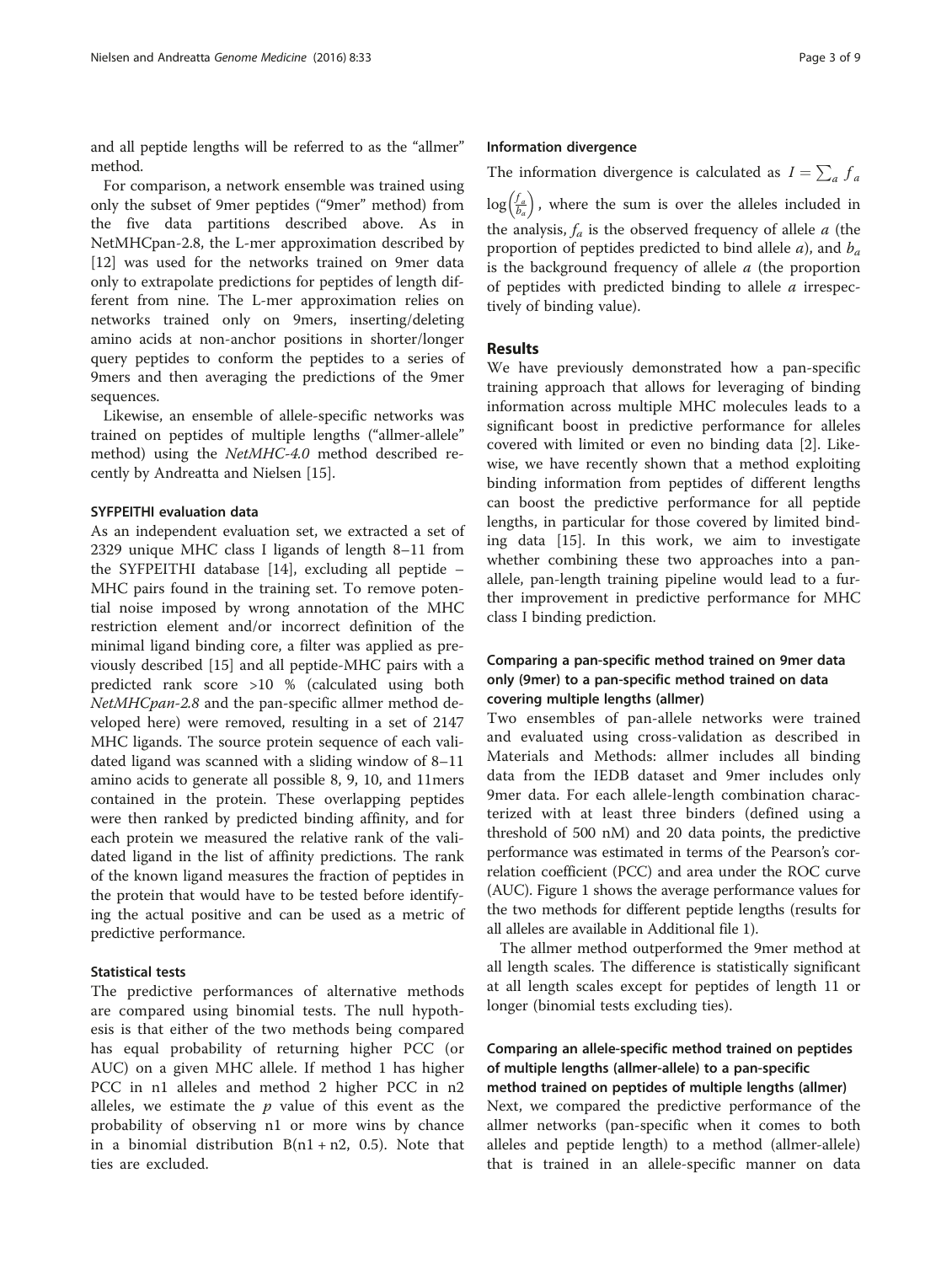and all peptide lengths will be referred to as the "allmer" method.

For comparison, a network ensemble was trained using only the subset of 9mer peptides ("9mer" method) from the five data partitions described above. As in NetMHCpan-2.8, the L-mer approximation described by [[12\]](#page-7-0) was used for the networks trained on 9mer data only to extrapolate predictions for peptides of length different from nine. The L-mer approximation relies on networks trained only on 9mers, inserting/deleting amino acids at non-anchor positions in shorter/longer query peptides to conform the peptides to a series of 9mers and then averaging the predictions of the 9mer sequences.

Likewise, an ensemble of allele-specific networks was trained on peptides of multiple lengths ("allmer-allele" method) using the NetMHC-4.0 method described recently by Andreatta and Nielsen [[15\]](#page-8-0).

## SYFPEITHI evaluation data

As an independent evaluation set, we extracted a set of 2329 unique MHC class I ligands of length 8–11 from the SYFPEITHI database [[14](#page-8-0)], excluding all peptide – MHC pairs found in the training set. To remove potential noise imposed by wrong annotation of the MHC restriction element and/or incorrect definition of the minimal ligand binding core, a filter was applied as previously described [[15](#page-8-0)] and all peptide-MHC pairs with a predicted rank score >10 % (calculated using both NetMHCpan-2.8 and the pan-specific allmer method developed here) were removed, resulting in a set of 2147 MHC ligands. The source protein sequence of each validated ligand was scanned with a sliding window of 8–11 amino acids to generate all possible 8, 9, 10, and 11mers contained in the protein. These overlapping peptides were then ranked by predicted binding affinity, and for each protein we measured the relative rank of the validated ligand in the list of affinity predictions. The rank of the known ligand measures the fraction of peptides in the protein that would have to be tested before identifying the actual positive and can be used as a metric of predictive performance.

#### Statistical tests

The predictive performances of alternative methods are compared using binomial tests. The null hypothesis is that either of the two methods being compared has equal probability of returning higher PCC (or AUC) on a given MHC allele. If method 1 has higher PCC in n1 alleles and method 2 higher PCC in n2 alleles, we estimate the  $p$  value of this event as the probability of observing n1 or more wins by chance in a binomial distribution  $B(n1 + n2, 0.5)$ . Note that ties are excluded.

#### Information divergence

The information divergence is calculated as  $I = \sum_a f_a$  $\log\left(\frac{f_a}{h}\right)$ , where the sum is over the alleles included in the analysis,  $f_a$  is the observed frequency of allele a (the proportion of pertides predicted to bind allele a) and h proportion of peptides predicted to bind allele  $a$ ), and  $b_a$ is the background frequency of allele  $a$  (the proportion of peptides with predicted binding to allele a irrespectively of binding value).

## Results

We have previously demonstrated how a pan-specific training approach that allows for leveraging of binding information across multiple MHC molecules leads to a significant boost in predictive performance for alleles covered with limited or even no binding data [\[2](#page-7-0)]. Likewise, we have recently shown that a method exploiting binding information from peptides of different lengths can boost the predictive performance for all peptide lengths, in particular for those covered by limited binding data [\[15](#page-8-0)]. In this work, we aim to investigate whether combining these two approaches into a panallele, pan-length training pipeline would lead to a further improvement in predictive performance for MHC class I binding prediction.

## Comparing a pan-specific method trained on 9mer data only (9mer) to a pan-specific method trained on data covering multiple lengths (allmer)

Two ensembles of pan-allele networks were trained and evaluated using cross-validation as described in Materials and Methods: allmer includes all binding data from the IEDB dataset and 9mer includes only 9mer data. For each allele-length combination characterized with at least three binders (defined using a threshold of 500 nM) and 20 data points, the predictive performance was estimated in terms of the Pearson's correlation coefficient (PCC) and area under the ROC curve (AUC). Figure [1](#page-3-0) shows the average performance values for the two methods for different peptide lengths (results for all alleles are available in Additional file [1\)](#page-7-0).

The allmer method outperformed the 9mer method at all length scales. The difference is statistically significant at all length scales except for peptides of length 11 or longer (binomial tests excluding ties).

## Comparing an allele-specific method trained on peptides of multiple lengths (allmer-allele) to a pan-specific method trained on peptides of multiple lengths (allmer)

Next, we compared the predictive performance of the allmer networks (pan-specific when it comes to both alleles and peptide length) to a method (allmer-allele) that is trained in an allele-specific manner on data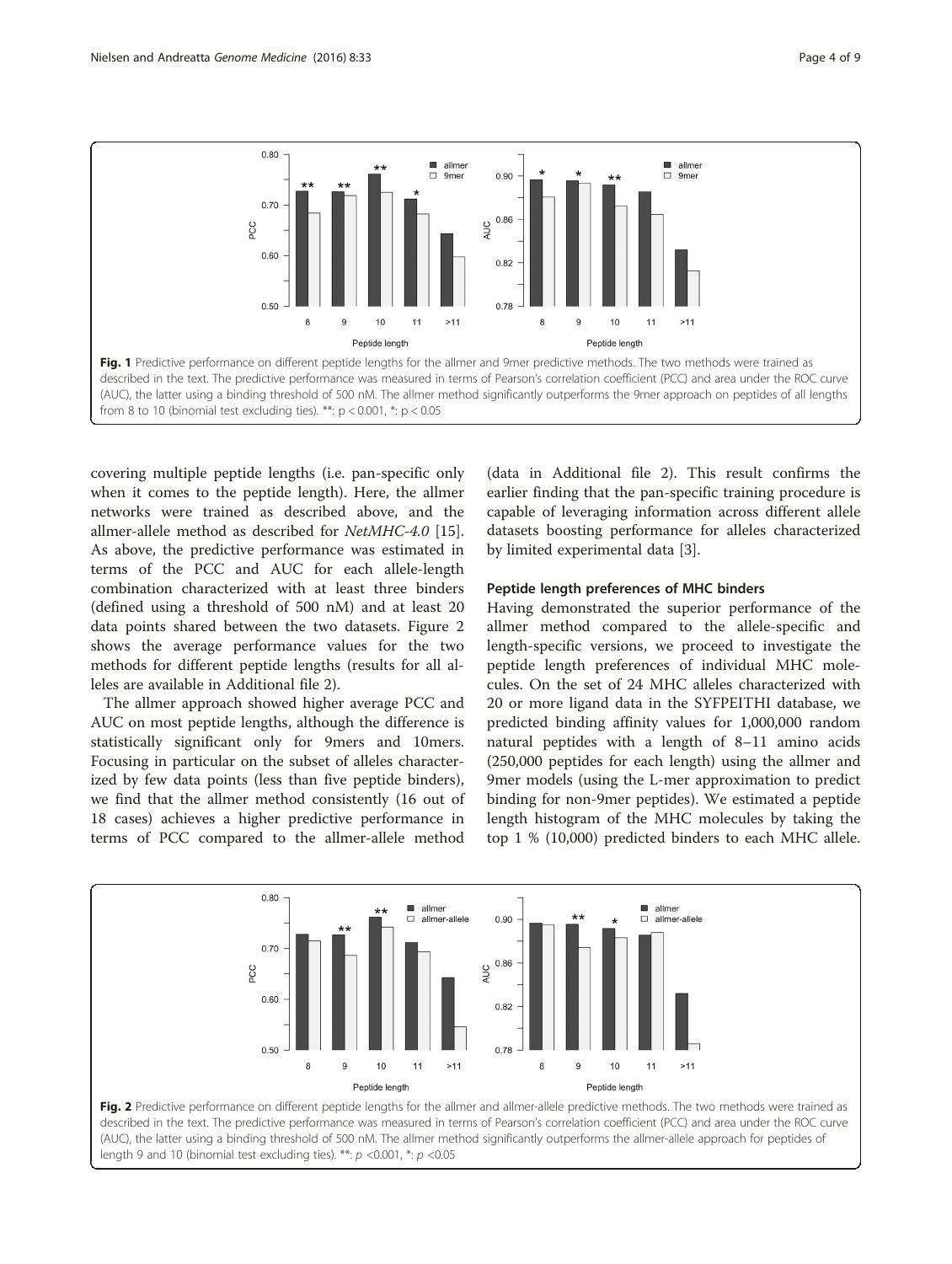<span id="page-3-0"></span>

covering multiple peptide lengths (i.e. pan-specific only when it comes to the peptide length). Here, the allmer networks were trained as described above, and the allmer-allele method as described for NetMHC-4.0 [\[15](#page-8-0)]. As above, the predictive performance was estimated in terms of the PCC and AUC for each allele-length combination characterized with at least three binders (defined using a threshold of 500 nM) and at least 20 data points shared between the two datasets. Figure 2 shows the average performance values for the two methods for different peptide lengths (results for all alleles are available in Additional file [2\)](#page-7-0).

The allmer approach showed higher average PCC and AUC on most peptide lengths, although the difference is statistically significant only for 9mers and 10mers. Focusing in particular on the subset of alleles characterized by few data points (less than five peptide binders), we find that the allmer method consistently (16 out of 18 cases) achieves a higher predictive performance in terms of PCC compared to the allmer-allele method (data in Additional file [2](#page-7-0)). This result confirms the earlier finding that the pan-specific training procedure is capable of leveraging information across different allele datasets boosting performance for alleles characterized by limited experimental data [\[3](#page-7-0)].

#### Peptide length preferences of MHC binders

Having demonstrated the superior performance of the allmer method compared to the allele-specific and length-specific versions, we proceed to investigate the peptide length preferences of individual MHC molecules. On the set of 24 MHC alleles characterized with 20 or more ligand data in the SYFPEITHI database, we predicted binding affinity values for 1,000,000 random natural peptides with a length of 8–11 amino acids (250,000 peptides for each length) using the allmer and 9mer models (using the L-mer approximation to predict binding for non-9mer peptides). We estimated a peptide length histogram of the MHC molecules by taking the top 1 % (10,000) predicted binders to each MHC allele.



length 9 and 10 (binomial test excluding ties). \*\*:  $p$  <0.001, \*:  $p$  <0.05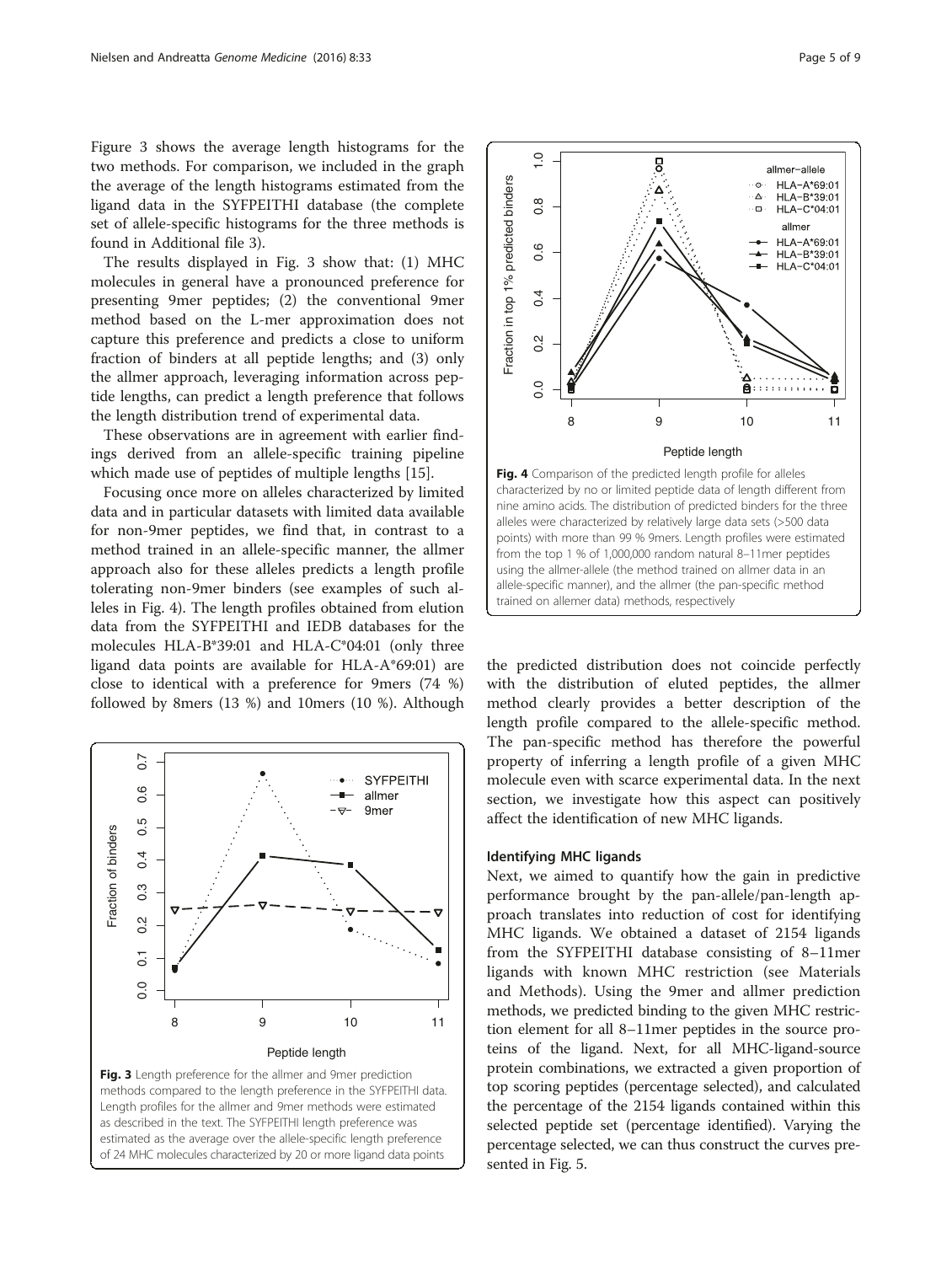Figure 3 shows the average length histograms for the two methods. For comparison, we included in the graph the average of the length histograms estimated from the ligand data in the SYFPEITHI database (the complete set of allele-specific histograms for the three methods is found in Additional file [3\)](#page-7-0).

The results displayed in Fig. 3 show that: (1) MHC molecules in general have a pronounced preference for presenting 9mer peptides; (2) the conventional 9mer method based on the L-mer approximation does not capture this preference and predicts a close to uniform fraction of binders at all peptide lengths; and (3) only the allmer approach, leveraging information across peptide lengths, can predict a length preference that follows the length distribution trend of experimental data.

These observations are in agreement with earlier findings derived from an allele-specific training pipeline which made use of peptides of multiple lengths [[15\]](#page-8-0).

Focusing once more on alleles characterized by limited data and in particular datasets with limited data available for non-9mer peptides, we find that, in contrast to a method trained in an allele-specific manner, the allmer approach also for these alleles predicts a length profile tolerating non-9mer binders (see examples of such alleles in Fig. 4). The length profiles obtained from elution data from the SYFPEITHI and IEDB databases for the molecules HLA-B\*39:01 and HLA-C\*04:01 (only three ligand data points are available for HLA-A\*69:01) are close to identical with a preference for 9mers (74 %) followed by 8mers (13 %) and 10mers (10 %). Although







the predicted distribution does not coincide perfectly with the distribution of eluted peptides, the allmer method clearly provides a better description of the length profile compared to the allele-specific method. The pan-specific method has therefore the powerful property of inferring a length profile of a given MHC molecule even with scarce experimental data. In the next section, we investigate how this aspect can positively affect the identification of new MHC ligands.

## Identifying MHC ligands

Next, we aimed to quantify how the gain in predictive performance brought by the pan-allele/pan-length approach translates into reduction of cost for identifying MHC ligands. We obtained a dataset of 2154 ligands from the SYFPEITHI database consisting of 8–11mer ligands with known MHC restriction (see Materials and Methods). Using the 9mer and allmer prediction methods, we predicted binding to the given MHC restriction element for all 8–11mer peptides in the source proteins of the ligand. Next, for all MHC-ligand-source protein combinations, we extracted a given proportion of top scoring peptides (percentage selected), and calculated the percentage of the 2154 ligands contained within this selected peptide set (percentage identified). Varying the percentage selected, we can thus construct the curves presented in Fig. [5](#page-5-0).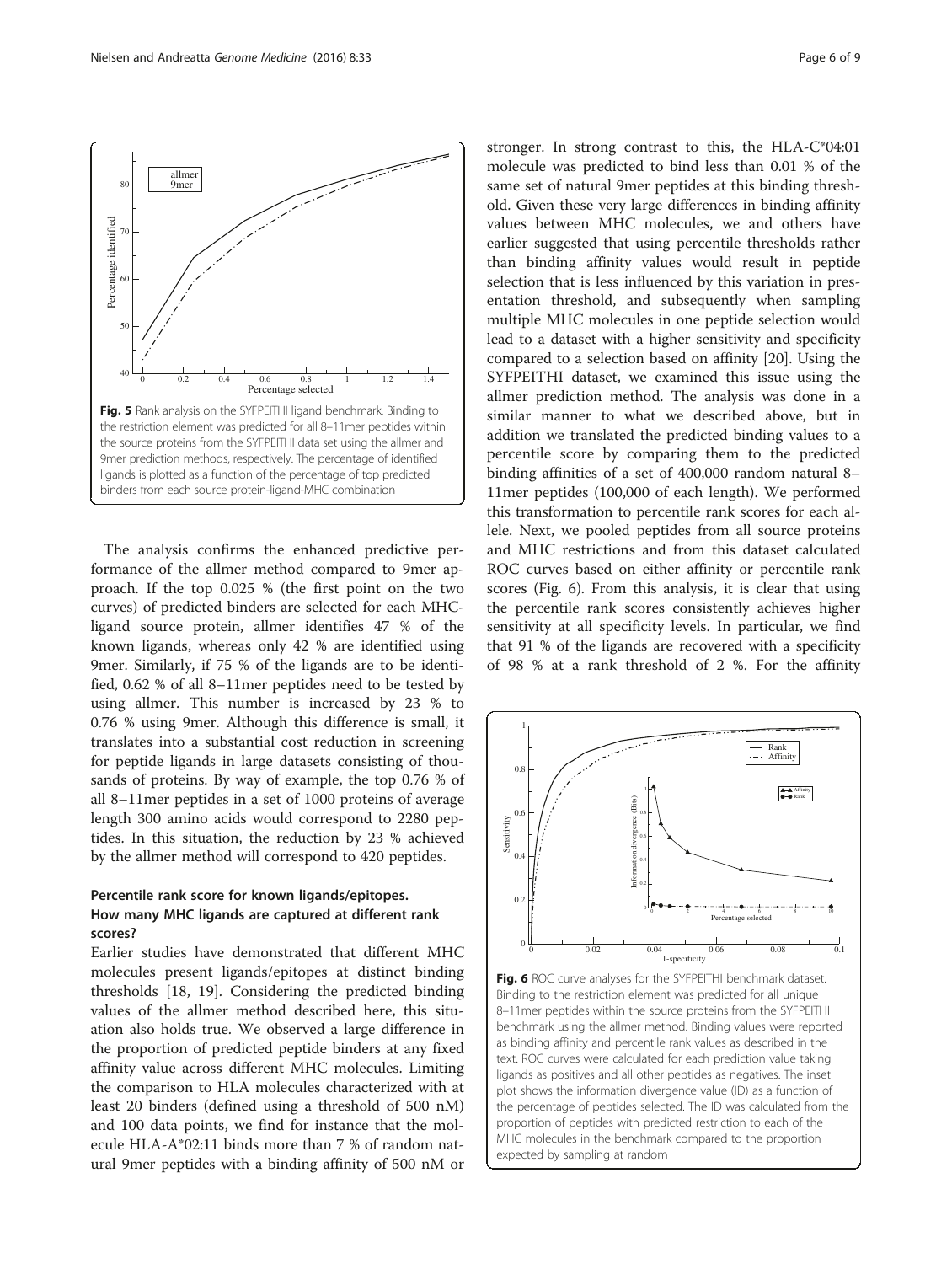<span id="page-5-0"></span>

The analysis confirms the enhanced predictive performance of the allmer method compared to 9mer approach. If the top 0.025 % (the first point on the two curves) of predicted binders are selected for each MHCligand source protein, allmer identifies 47 % of the known ligands, whereas only 42 % are identified using 9mer. Similarly, if 75 % of the ligands are to be identified, 0.62 % of all 8–11mer peptides need to be tested by using allmer. This number is increased by 23 % to 0.76 % using 9mer. Although this difference is small, it translates into a substantial cost reduction in screening for peptide ligands in large datasets consisting of thousands of proteins. By way of example, the top 0.76 % of all 8–11mer peptides in a set of 1000 proteins of average length 300 amino acids would correspond to 2280 peptides. In this situation, the reduction by 23 % achieved by the allmer method will correspond to 420 peptides.

## Percentile rank score for known ligands/epitopes. How many MHC ligands are captured at different rank scores?

Earlier studies have demonstrated that different MHC molecules present ligands/epitopes at distinct binding thresholds [\[18, 19\]](#page-8-0). Considering the predicted binding values of the allmer method described here, this situation also holds true. We observed a large difference in the proportion of predicted peptide binders at any fixed affinity value across different MHC molecules. Limiting the comparison to HLA molecules characterized with at least 20 binders (defined using a threshold of 500 nM) and 100 data points, we find for instance that the molecule HLA-A\*02:11 binds more than 7 % of random natural 9mer peptides with a binding affinity of 500 nM or stronger. In strong contrast to this, the HLA-C\*04:01 molecule was predicted to bind less than 0.01 % of the same set of natural 9mer peptides at this binding threshold. Given these very large differences in binding affinity values between MHC molecules, we and others have earlier suggested that using percentile thresholds rather than binding affinity values would result in peptide selection that is less influenced by this variation in presentation threshold, and subsequently when sampling multiple MHC molecules in one peptide selection would lead to a dataset with a higher sensitivity and specificity compared to a selection based on affinity [[20\]](#page-8-0). Using the SYFPEITHI dataset, we examined this issue using the allmer prediction method. The analysis was done in a similar manner to what we described above, but in addition we translated the predicted binding values to a percentile score by comparing them to the predicted binding affinities of a set of 400,000 random natural 8– 11mer peptides (100,000 of each length). We performed this transformation to percentile rank scores for each allele. Next, we pooled peptides from all source proteins and MHC restrictions and from this dataset calculated ROC curves based on either affinity or percentile rank scores (Fig. 6). From this analysis, it is clear that using the percentile rank scores consistently achieves higher sensitivity at all specificity levels. In particular, we find that 91 % of the ligands are recovered with a specificity of 98 % at a rank threshold of 2 %. For the affinity



Fig. 6 ROC curve analyses for the SYFPEITHI benchmark dataset. Binding to the restriction element was predicted for all unique 8–11mer peptides within the source proteins from the SYFPEITHI benchmark using the allmer method. Binding values were reported as binding affinity and percentile rank values as described in the text. ROC curves were calculated for each prediction value taking ligands as positives and all other peptides as negatives. The inset plot shows the information divergence value (ID) as a function of the percentage of peptides selected. The ID was calculated from the proportion of peptides with predicted restriction to each of the MHC molecules in the benchmark compared to the proportion expected by sampling at random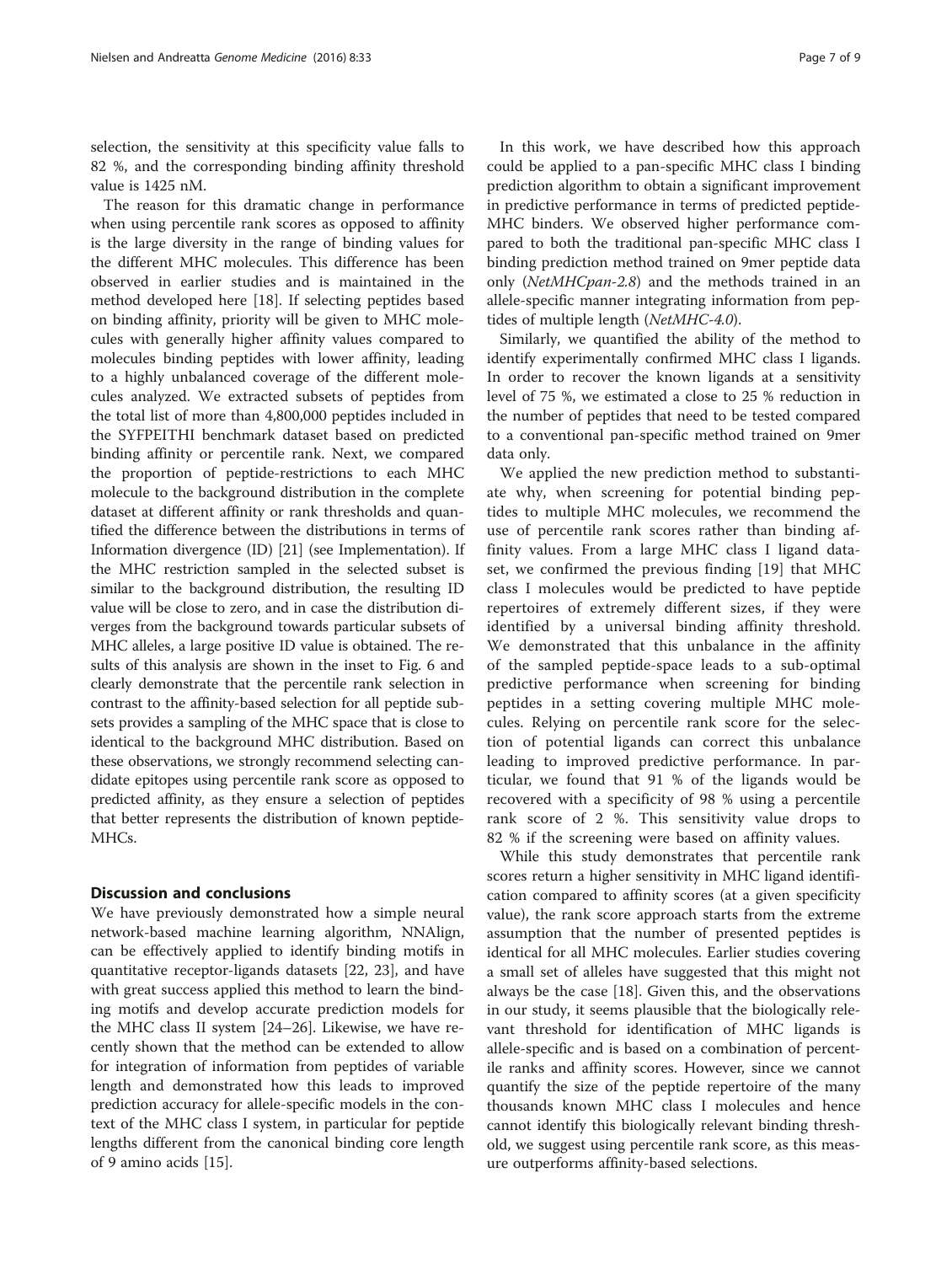selection, the sensitivity at this specificity value falls to 82 %, and the corresponding binding affinity threshold value is 1425 nM.

The reason for this dramatic change in performance when using percentile rank scores as opposed to affinity is the large diversity in the range of binding values for the different MHC molecules. This difference has been observed in earlier studies and is maintained in the method developed here [[18](#page-8-0)]. If selecting peptides based on binding affinity, priority will be given to MHC molecules with generally higher affinity values compared to molecules binding peptides with lower affinity, leading to a highly unbalanced coverage of the different molecules analyzed. We extracted subsets of peptides from the total list of more than 4,800,000 peptides included in the SYFPEITHI benchmark dataset based on predicted binding affinity or percentile rank. Next, we compared the proportion of peptide-restrictions to each MHC molecule to the background distribution in the complete dataset at different affinity or rank thresholds and quantified the difference between the distributions in terms of Information divergence (ID) [\[21\]](#page-8-0) (see [Implementation](#page-1-0)). If the MHC restriction sampled in the selected subset is similar to the background distribution, the resulting ID value will be close to zero, and in case the distribution diverges from the background towards particular subsets of MHC alleles, a large positive ID value is obtained. The results of this analysis are shown in the inset to Fig. [6](#page-5-0) and clearly demonstrate that the percentile rank selection in contrast to the affinity-based selection for all peptide subsets provides a sampling of the MHC space that is close to identical to the background MHC distribution. Based on these observations, we strongly recommend selecting candidate epitopes using percentile rank score as opposed to predicted affinity, as they ensure a selection of peptides that better represents the distribution of known peptide-MHCs.

## Discussion and conclusions

We have previously demonstrated how a simple neural network-based machine learning algorithm, NNAlign, can be effectively applied to identify binding motifs in quantitative receptor-ligands datasets [\[22](#page-8-0), [23\]](#page-8-0), and have with great success applied this method to learn the binding motifs and develop accurate prediction models for the MHC class II system [\[24](#page-8-0)–[26\]](#page-8-0). Likewise, we have recently shown that the method can be extended to allow for integration of information from peptides of variable length and demonstrated how this leads to improved prediction accuracy for allele-specific models in the context of the MHC class I system, in particular for peptide lengths different from the canonical binding core length of 9 amino acids [[15](#page-8-0)].

In this work, we have described how this approach could be applied to a pan-specific MHC class I binding prediction algorithm to obtain a significant improvement in predictive performance in terms of predicted peptide-MHC binders. We observed higher performance compared to both the traditional pan-specific MHC class I binding prediction method trained on 9mer peptide data only (NetMHCpan-2.8) and the methods trained in an allele-specific manner integrating information from peptides of multiple length (NetMHC-4.0).

Similarly, we quantified the ability of the method to identify experimentally confirmed MHC class I ligands. In order to recover the known ligands at a sensitivity level of 75 %, we estimated a close to 25 % reduction in the number of peptides that need to be tested compared to a conventional pan-specific method trained on 9mer data only.

We applied the new prediction method to substantiate why, when screening for potential binding peptides to multiple MHC molecules, we recommend the use of percentile rank scores rather than binding affinity values. From a large MHC class I ligand dataset, we confirmed the previous finding [[19\]](#page-8-0) that MHC class I molecules would be predicted to have peptide repertoires of extremely different sizes, if they were identified by a universal binding affinity threshold. We demonstrated that this unbalance in the affinity of the sampled peptide-space leads to a sub-optimal predictive performance when screening for binding peptides in a setting covering multiple MHC molecules. Relying on percentile rank score for the selection of potential ligands can correct this unbalance leading to improved predictive performance. In particular, we found that 91 % of the ligands would be recovered with a specificity of 98 % using a percentile rank score of 2 %. This sensitivity value drops to 82 % if the screening were based on affinity values.

While this study demonstrates that percentile rank scores return a higher sensitivity in MHC ligand identification compared to affinity scores (at a given specificity value), the rank score approach starts from the extreme assumption that the number of presented peptides is identical for all MHC molecules. Earlier studies covering a small set of alleles have suggested that this might not always be the case [[18\]](#page-8-0). Given this, and the observations in our study, it seems plausible that the biologically relevant threshold for identification of MHC ligands is allele-specific and is based on a combination of percentile ranks and affinity scores. However, since we cannot quantify the size of the peptide repertoire of the many thousands known MHC class I molecules and hence cannot identify this biologically relevant binding threshold, we suggest using percentile rank score, as this measure outperforms affinity-based selections.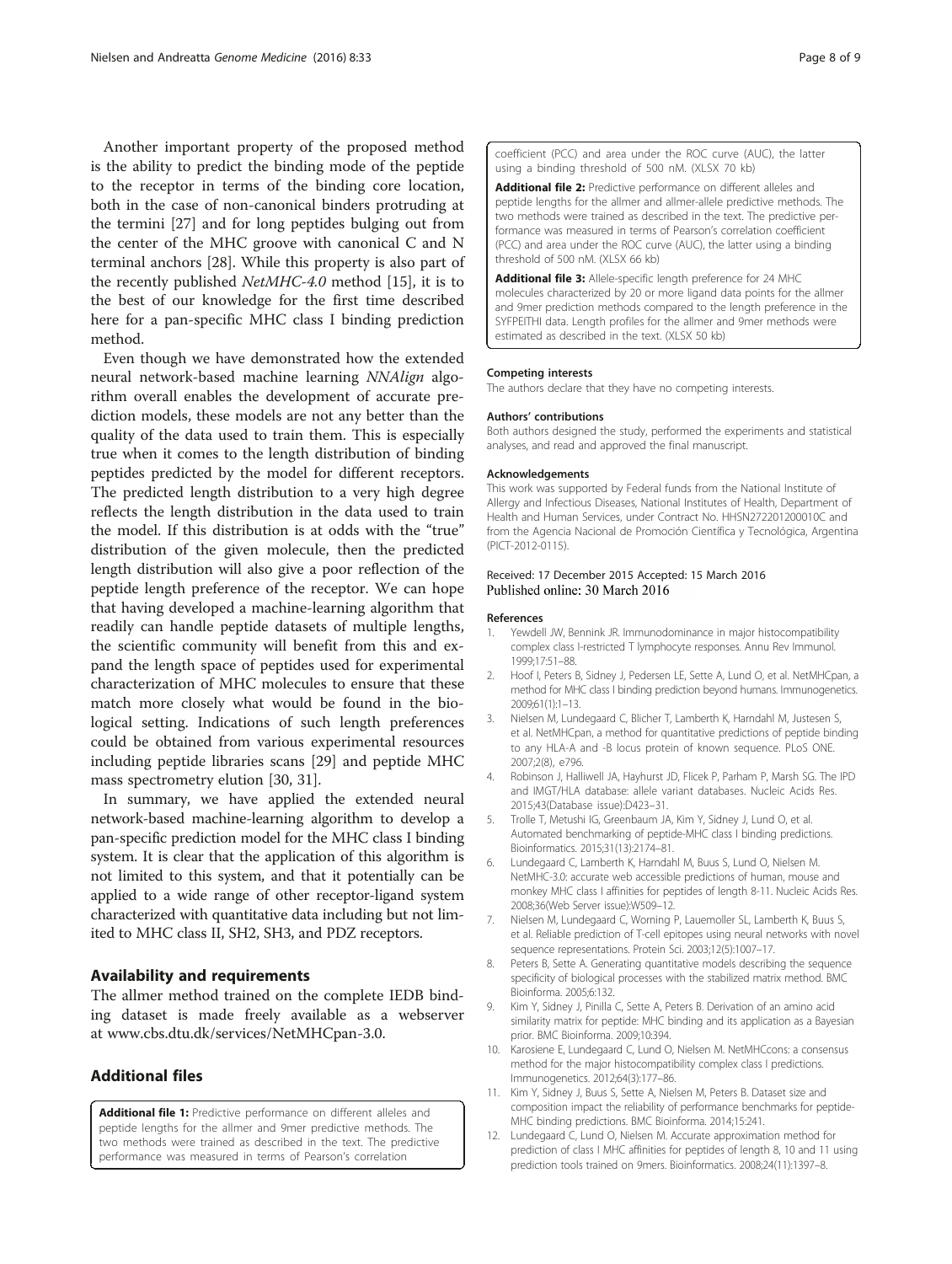<span id="page-7-0"></span>Another important property of the proposed method is the ability to predict the binding mode of the peptide to the receptor in terms of the binding core location, both in the case of non-canonical binders protruding at the termini [[27\]](#page-8-0) and for long peptides bulging out from the center of the MHC groove with canonical C and N terminal anchors [[28](#page-8-0)]. While this property is also part of the recently published NetMHC-4.0 method [\[15](#page-8-0)], it is to the best of our knowledge for the first time described here for a pan-specific MHC class I binding prediction method.

Even though we have demonstrated how the extended neural network-based machine learning NNAlign algorithm overall enables the development of accurate prediction models, these models are not any better than the quality of the data used to train them. This is especially true when it comes to the length distribution of binding peptides predicted by the model for different receptors. The predicted length distribution to a very high degree reflects the length distribution in the data used to train the model. If this distribution is at odds with the "true" distribution of the given molecule, then the predicted length distribution will also give a poor reflection of the peptide length preference of the receptor. We can hope that having developed a machine-learning algorithm that readily can handle peptide datasets of multiple lengths, the scientific community will benefit from this and expand the length space of peptides used for experimental characterization of MHC molecules to ensure that these match more closely what would be found in the biological setting. Indications of such length preferences could be obtained from various experimental resources including peptide libraries scans [[29\]](#page-8-0) and peptide MHC mass spectrometry elution [\[30, 31\]](#page-8-0).

In summary, we have applied the extended neural network-based machine-learning algorithm to develop a pan-specific prediction model for the MHC class I binding system. It is clear that the application of this algorithm is not limited to this system, and that it potentially can be applied to a wide range of other receptor-ligand system characterized with quantitative data including but not limited to MHC class II, SH2, SH3, and PDZ receptors.

#### Availability and requirements

The allmer method trained on the complete IEDB binding dataset is made freely available as a webserver at [www.cbs.dtu.dk/services/NetMHCpan-3.0](http://www.cbs.dtu.dk/services/NetMHCpan-3.0).

#### Additional files

[Additional file 1:](dx.doi.org/10.1186/s13073-016-0288-x) Predictive performance on different alleles and peptide lengths for the allmer and 9mer predictive methods. The two methods were trained as described in the text. The predictive performance was measured in terms of Pearson's correlation

coefficient (PCC) and area under the ROC curve (AUC), the latter using a binding threshold of 500 nM. (XLSX 70 kb)

[Additional file 2:](dx.doi.org/10.1186/s13073-016-0288-x) Predictive performance on different alleles and peptide lengths for the allmer and allmer-allele predictive methods. The two methods were trained as described in the text. The predictive performance was measured in terms of Pearson's correlation coefficient (PCC) and area under the ROC curve (AUC), the latter using a binding threshold of 500 nM. (XLSX 66 kb)

[Additional file 3:](dx.doi.org/10.1186/s13073-016-0288-x) Allele-specific length preference for 24 MHC molecules characterized by 20 or more ligand data points for the allmer and 9mer prediction methods compared to the length preference in the SYFPEITHI data. Length profiles for the allmer and 9mer methods were estimated as described in the text. (XLSX 50 kb)

#### Competing interests

The authors declare that they have no competing interests.

#### Authors' contributions

Both authors designed the study, performed the experiments and statistical analyses, and read and approved the final manuscript.

#### Acknowledgements

This work was supported by Federal funds from the National Institute of Allergy and Infectious Diseases, National Institutes of Health, Department of Health and Human Services, under Contract No. HHSN272201200010C and from the Agencia Nacional de Promoción Científica y Tecnológica, Argentina (PICT-2012-0115).

#### Received: 17 December 2015 Accepted: 15 March 2016 Published online: 30 March 2016

#### References

- 1. Yewdell JW, Bennink JR. Immunodominance in major histocompatibility complex class I-restricted T lymphocyte responses. Annu Rev Immunol. 1999;17:51–88.
- 2. Hoof I, Peters B, Sidney J, Pedersen LE, Sette A, Lund O, et al. NetMHCpan, a method for MHC class I binding prediction beyond humans. Immunogenetics. 2009;61(1):1–13.
- 3. Nielsen M, Lundegaard C, Blicher T, Lamberth K, Harndahl M, Justesen S, et al. NetMHCpan, a method for quantitative predictions of peptide binding to any HLA-A and -B locus protein of known sequence. PLoS ONE. 2007;2(8), e796.
- 4. Robinson J, Halliwell JA, Hayhurst JD, Flicek P, Parham P, Marsh SG. The IPD and IMGT/HLA database: allele variant databases. Nucleic Acids Res. 2015;43(Database issue):D423–31.
- 5. Trolle T, Metushi IG, Greenbaum JA, Kim Y, Sidney J, Lund O, et al. Automated benchmarking of peptide-MHC class I binding predictions. Bioinformatics. 2015;31(13):2174–81.
- 6. Lundegaard C, Lamberth K, Harndahl M, Buus S, Lund O, Nielsen M. NetMHC-3.0: accurate web accessible predictions of human, mouse and monkey MHC class I affinities for peptides of length 8-11. Nucleic Acids Res. 2008;36(Web Server issue):W509–12.
- 7. Nielsen M, Lundegaard C, Worning P, Lauemoller SL, Lamberth K, Buus S, et al. Reliable prediction of T-cell epitopes using neural networks with novel sequence representations. Protein Sci. 2003;12(5):1007–17.
- 8. Peters B, Sette A. Generating quantitative models describing the sequence specificity of biological processes with the stabilized matrix method. BMC Bioinforma. 2005;6:132.
- 9. Kim Y, Sidney J, Pinilla C, Sette A, Peters B. Derivation of an amino acid similarity matrix for peptide: MHC binding and its application as a Bayesian prior. BMC Bioinforma. 2009;10:394.
- 10. Karosiene E, Lundegaard C, Lund O, Nielsen M. NetMHCcons: a consensus method for the major histocompatibility complex class I predictions. Immunogenetics. 2012;64(3):177–86.
- 11. Kim Y, Sidney J, Buus S, Sette A, Nielsen M, Peters B. Dataset size and composition impact the reliability of performance benchmarks for peptide-MHC binding predictions. BMC Bioinforma. 2014;15:241.
- 12. Lundegaard C, Lund O, Nielsen M. Accurate approximation method for prediction of class I MHC affinities for peptides of length 8, 10 and 11 using prediction tools trained on 9mers. Bioinformatics. 2008;24(11):1397–8.